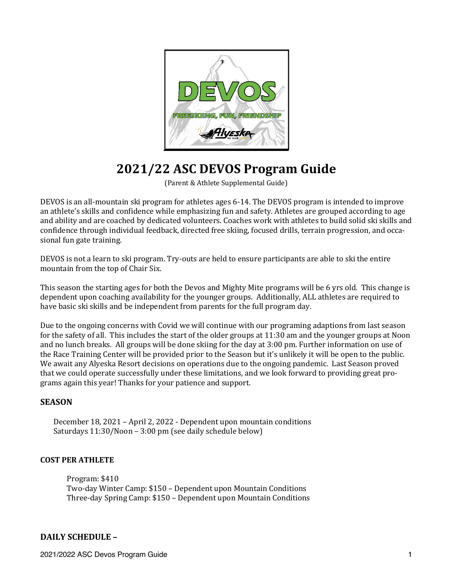

# **2021/22 ASC DEVOS Program Guide**

(Parent & Athlete Supplemental Guide)

DEVOS is an all-mountain ski program for athletes ages 6-14. The DEVOS program is intended to improve an athlete's skills and confidence while emphasizing fun and safety. Athletes are grouped according to age and ability and are coached by dedicated volunteers. Coaches work with athletes to build solid ski skills and confidence through individual feedback, directed free skiing, focused drills, terrain progression, and occasional fun gate training.

DEVOS is not a learn to ski program. Try-outs are held to ensure participants are able to ski the entire mountain from the top of Chair Six.

This season the starting ages for both the Devos and Mighty Mite programs will be 6 yrs old. This change is dependent upon coaching availability for the younger groups. Additionally, ALL athletes are required to have basic ski skills and be independent from parents for the full program day.

Due to the ongoing concerns with Covid we will continue with our programing adaptions from last season for the safety of all. This includes the start of the older groups at 11:30 am and the younger groups at Noon and no lunch breaks. All groups will be done skiing for the day at 3:00 pm. Further information on use of the Race Training Center will be provided prior to the Season but it's unlikely it will be open to the public. We await any Alyeska Resort decisions on operations due to the ongoing pandemic. Last Season proved that we could operate successfully under these limitations, and we look forward to providing great programs again this year! Thanks for your patience and support.

## **SEASON**

December 18, 2021 – April 2, 2022 - Dependent upon mountain conditions Saturdays 11:30/Noon – 3:00 pm (see daily schedule below)

## **COST PER ATHLETE**

Program: \$410 Two-day Winter Camp: \$150 – Dependent upon Mountain Conditions Three-day Spring Camp: \$150 – Dependent upon Mountain Conditions

## **DAILY SCHEDULE –**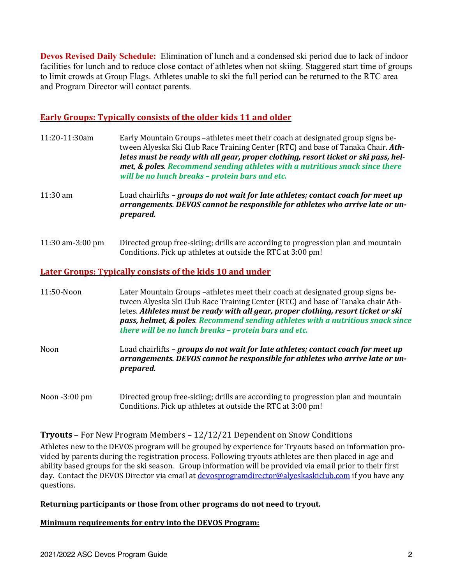**Devos Revised Daily Schedule:** Elimination of lunch and a condensed ski period due to lack of indoor facilities for lunch and to reduce close contact of athletes when not skiing. Staggered start time of groups to limit crowds at Group Flags. Athletes unable to ski the full period can be returned to the RTC area and Program Director will contact parents.

## **Early Groups: Typically consists of the older kids 11 and older**

- 11:20-11:30am Early Mountain Groups –athletes meet their coach at designated group signs between Alyeska Ski Club Race Training Center (RTC) and base of Tanaka Chair. *Athletes must be ready with all gear, proper clothing, resort ticket or ski pass, helmet, & poles. Recommend sending athletes with a nutritious snack since there will be no lunch breaks – protein bars and etc.*
- 11:30 am Load chairlifts *groups do not wait for late athletes; contact coach for meet up arrangements. DEVOS cannot be responsible for athletes who arrive late or unprepared.*
- 11:30 am-3:00 pm Directed group free-skiing; drills are according to progression plan and mountain Conditions. Pick up athletes at outside the RTC at 3:00 pm!

## **Later Groups: Typically consists of the kids 10 and under**

- 11:50-Noon Later Mountain Groups –athletes meet their coach at designated group signs between Alyeska Ski Club Race Training Center (RTC) and base of Tanaka chair Athletes. *Athletes must be ready with all gear, proper clothing, resort ticket or ski pass, helmet, & poles. Recommend sending athletes with a nutritious snack since there will be no lunch breaks – protein bars and etc.*
- Noon Load chairlifts *groups do not wait for late athletes; contact coach for meet up arrangements. DEVOS cannot be responsible for athletes who arrive late or unprepared.*
- Noon -3:00 pm Directed group free-skiing; drills are according to progression plan and mountain Conditions. Pick up athletes at outside the RTC at 3:00 pm!

## **Tryouts** – For New Program Members – 12/12/21 Dependent on Snow Conditions

Athletes new to the DEVOS program will be grouped by experience for Tryouts based on information provided by parents during the registration process. Following tryouts athletes are then placed in age and ability based groups for the ski season. Group information will be provided via email prior to their first day. Contact the DEVOS Director via email at *devosprogramdirector@alyeskaskiclub.com* if you have any questions.

#### **Returning participants or those from other programs do not need to tryout.**

#### **Minimum requirements for entry into the DEVOS Program:**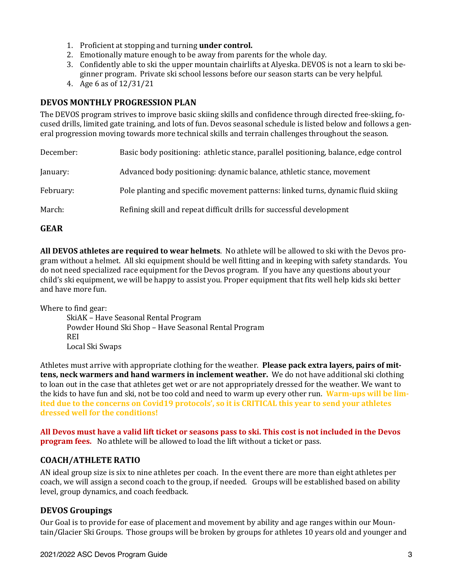- 1. Proficient at stopping and turning **under control.**
- 2. Emotionally mature enough to be away from parents for the whole day.
- 3. Confidently able to ski the upper mountain chairlifts at Alyeska. DEVOS is not a learn to ski beginner program. Private ski school lessons before our season starts can be very helpful.
- 4. Age 6 as of 12/31/21

## **DEVOS MONTHLY PROGRESSION PLAN**

The DEVOS program strives to improve basic skiing skills and confidence through directed free-skiing, focused drills, limited gate training, and lots of fun. Devos seasonal schedule is listed below and follows a general progression moving towards more technical skills and terrain challenges throughout the season.

| December: | Basic body positioning: athletic stance, parallel positioning, balance, edge control |
|-----------|--------------------------------------------------------------------------------------|
| January:  | Advanced body positioning: dynamic balance, athletic stance, movement                |
| February: | Pole planting and specific movement patterns: linked turns, dynamic fluid skiing     |
| March:    | Refining skill and repeat difficult drills for successful development                |

## **GEAR**

**All DEVOS athletes are required to wear helmets**. No athlete will be allowed to ski with the Devos program without a helmet. All ski equipment should be well fitting and in keeping with safety standards. You do not need specialized race equipment for the Devos program. If you have any questions about your child's ski equipment, we will be happy to assist you. Proper equipment that fits well help kids ski better and have more fun.

Where to find gear: SkiAK – Have Seasonal Rental Program Powder Hound Ski Shop – Have Seasonal Rental Program REI Local Ski Swaps

Athletes must arrive with appropriate clothing for the weather. **Please pack extra layers, pairs of mittens, neck warmers and hand warmers in inclement weather.** We do not have additional ski clothing to loan out in the case that athletes get wet or are not appropriately dressed for the weather. We want to the kids to have fun and ski, not be too cold and need to warm up every other run. **Warm-ups will be limited due to the concerns on Covid19 protocols', so it is CRITICAL this year to send your athletes dressed well for the conditions!**

All Devos must have a valid lift ticket or seasons pass to ski. This cost is not included in the Devos **program fees.** No athlete will be allowed to load the lift without a ticket or pass.

## **COACH/ATHLETE RATIO**

AN ideal group size is six to nine athletes per coach. In the event there are more than eight athletes per coach, we will assign a second coach to the group, if needed. Groups will be established based on ability level, group dynamics, and coach feedback. 

## **DEVOS Groupings**

Our Goal is to provide for ease of placement and movement by ability and age ranges within our Mountain/Glacier Ski Groups. Those groups will be broken by groups for athletes 10 years old and younger and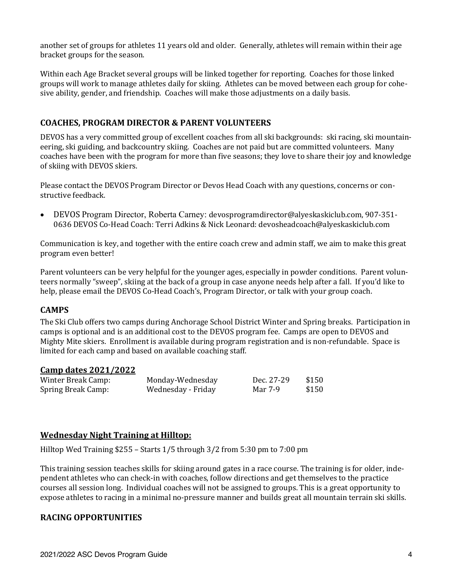another set of groups for athletes 11 years old and older. Generally, athletes will remain within their age bracket groups for the season.

Within each Age Bracket several groups will be linked together for reporting. Coaches for those linked groups will work to manage athletes daily for skiing. Athletes can be moved between each group for cohesive ability, gender, and friendship. Coaches will make those adjustments on a daily basis.

## **COACHES, PROGRAM DIRECTOR & PARENT VOLUNTEERS**

DEVOS has a very committed group of excellent coaches from all ski backgrounds: ski racing, ski mountaineering, ski guiding, and backcountry skiing. Coaches are not paid but are committed volunteers. Many coaches have been with the program for more than five seasons; they love to share their joy and knowledge of skiing with DEVOS skiers.

Please contact the DEVOS Program Director or Devos Head Coach with any questions, concerns or constructive feedback.

• DEVOS Program Director, Roberta Carney: devosprogramdirector@alyeskaskiclub.com, 907-351- 0636 DEVOS Co-Head Coach: Terri Adkins & Nick Leonard: devosheadcoach@alyeskaskiclub.com

Communication is key, and together with the entire coach crew and admin staff, we aim to make this great program even better!

Parent volunteers can be very helpful for the younger ages, especially in powder conditions. Parent volunteers normally "sweep", skiing at the back of a group in case anyone needs help after a fall. If you'd like to help, please email the DEVOS Co-Head Coach's, Program Director, or talk with your group coach.

## **CAMPS**

The Ski Club offers two camps during Anchorage School District Winter and Spring breaks. Participation in camps is optional and is an additional cost to the DEVOS program fee. Camps are open to DEVOS and Mighty Mite skiers. Enrollment is available during program registration and is non-refundable. Space is limited for each camp and based on available coaching staff.

## **Camp dates 2021/2022**

| Winter Break Camp: | Monday-Wednesday   | Dec. 27-29 | \$150 |
|--------------------|--------------------|------------|-------|
| Spring Break Camp: | Wednesday - Friday | Mar 7-9    | \$150 |

## **Wednesday Night Training at Hilltop:**

Hilltop Wed Training \$255 – Starts 1/5 through 3/2 from 5:30 pm to 7:00 pm

This training session teaches skills for skiing around gates in a race course. The training is for older, independent athletes who can check-in with coaches, follow directions and get themselves to the practice courses all session long. Individual coaches will not be assigned to groups. This is a great opportunity to expose athletes to racing in a minimal no-pressure manner and builds great all mountain terrain ski skills.

## **RACING OPPORTUNITIES**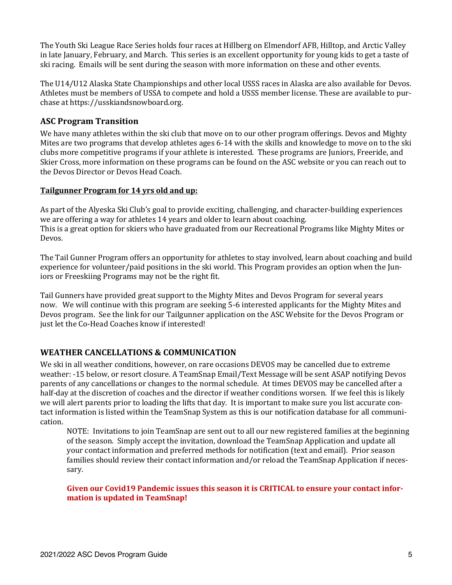The Youth Ski League Race Series holds four races at Hillberg on Elmendorf AFB, Hilltop, and Arctic Valley in late January, February, and March. This series is an excellent opportunity for young kids to get a taste of ski racing. Emails will be sent during the season with more information on these and other events.

The U14/U12 Alaska State Championships and other local USSS races in Alaska are also available for Devos. Athletes must be members of USSA to compete and hold a USSS member license. These are available to purchase at https://usskiandsnowboard.org. 

## **ASC Program Transition**

We have many athletes within the ski club that move on to our other program offerings. Devos and Mighty Mites are two programs that develop athletes ages 6-14 with the skills and knowledge to move on to the ski clubs more competitive programs if your athlete is interested. These programs are Juniors, Freeride, and Skier Cross, more information on these programs can be found on the ASC website or you can reach out to the Devos Director or Devos Head Coach.

#### **Tailgunner Program for 14 yrs old and up:**

As part of the Alyeska Ski Club's goal to provide exciting, challenging, and character-building experiences we are offering a way for athletes 14 years and older to learn about coaching. This is a great option for skiers who have graduated from our Recreational Programs like Mighty Mites or Devos.

The Tail Gunner Program offers an opportunity for athletes to stay involved, learn about coaching and build experience for volunteer/paid positions in the ski world. This Program provides an option when the Juniors or Freeskiing Programs may not be the right fit.

Tail Gunners have provided great support to the Mighty Mites and Devos Program for several years now. We will continue with this program are seeking 5-6 interested applicants for the Mighty Mites and Devos program. See the link for our Tailgunner application on the ASC Website for the Devos Program or just let the Co-Head Coaches know if interested!

## **WEATHER CANCELLATIONS & COMMUNICATION**

We ski in all weather conditions, however, on rare occasions DEVOS may be cancelled due to extreme weather: -15 below, or resort closure. A TeamSnap Email/Text Message will be sent ASAP notifying Devos parents of any cancellations or changes to the normal schedule. At times DEVOS may be cancelled after a half-day at the discretion of coaches and the director if weather conditions worsen. If we feel this is likely we will alert parents prior to loading the lifts that day. It is important to make sure you list accurate contact information is listed within the TeamSnap System as this is our notification database for all communication.

NOTE: Invitations to join TeamSnap are sent out to all our new registered families at the beginning of the season. Simply accept the invitation, download the TeamSnap Application and update all your contact information and preferred methods for notification (text and email). Prior season families should review their contact information and/or reload the TeamSnap Application if necessary.

**Given our Covid19 Pandemic issues this season it is CRITICAL to ensure your contact information is updated in TeamSnap!**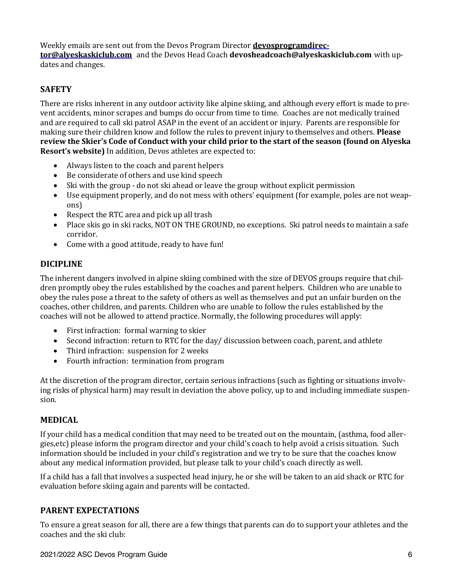Weekly emails are sent out from the Devos Program Director **devosprogramdirector@alyeskaskiclub.com** and the Devos Head Coach **devosheadcoach@alyeskaskiclub.com** with updates and changes. 

## **SAFETY**

There are risks inherent in any outdoor activity like alpine skiing, and although every effort is made to prevent accidents, minor scrapes and bumps do occur from time to time. Coaches are not medically trained and are required to call ski patrol ASAP in the event of an accident or injury. Parents are responsible for making sure their children know and follow the rules to prevent injury to themselves and others. **Please** review the Skier's Code of Conduct with your child prior to the start of the season (found on Alyeska **Resort's website)** In addition, Devos athletes are expected to:

- Always listen to the coach and parent helpers
- Be considerate of others and use kind speech
- Ski with the group do not ski ahead or leave the group without explicit permission
- Use equipment properly, and do not mess with others' equipment (for example, poles are not weapons)
- Respect the RTC area and pick up all trash
- Place skis go in ski racks, NOT ON THE GROUND, no exceptions. Ski patrol needs to maintain a safe corridor.
- Come with a good attitude, ready to have fun!

# **DICIPLINE**

The inherent dangers involved in alpine skiing combined with the size of DEVOS groups require that children promptly obey the rules established by the coaches and parent helpers. Children who are unable to obey the rules pose a threat to the safety of others as well as themselves and put an unfair burden on the coaches, other children, and parents. Children who are unable to follow the rules established by the coaches will not be allowed to attend practice. Normally, the following procedures will apply:

- First infraction: formal warning to skier
- Second infraction: return to RTC for the day/ discussion between coach, parent, and athlete
- Third infraction: suspension for 2 weeks
- Fourth infraction: termination from program

At the discretion of the program director, certain serious infractions (such as fighting or situations involving risks of physical harm) may result in deviation the above policy, up to and including immediate suspension.

## **MEDICAL**

If your child has a medical condition that may need to be treated out on the mountain, (asthma, food allergies,etc) please inform the program director and your child's coach to help avoid a crisis situation. Such information should be included in your child's registration and we try to be sure that the coaches know about any medical information provided, but please talk to your child's coach directly as well.

If a child has a fall that involves a suspected head injury, he or she will be taken to an aid shack or RTC for evaluation before skiing again and parents will be contacted.

## **PARENT EXPECTATIONS**

To ensure a great season for all, there are a few things that parents can do to support your athletes and the coaches and the ski club: